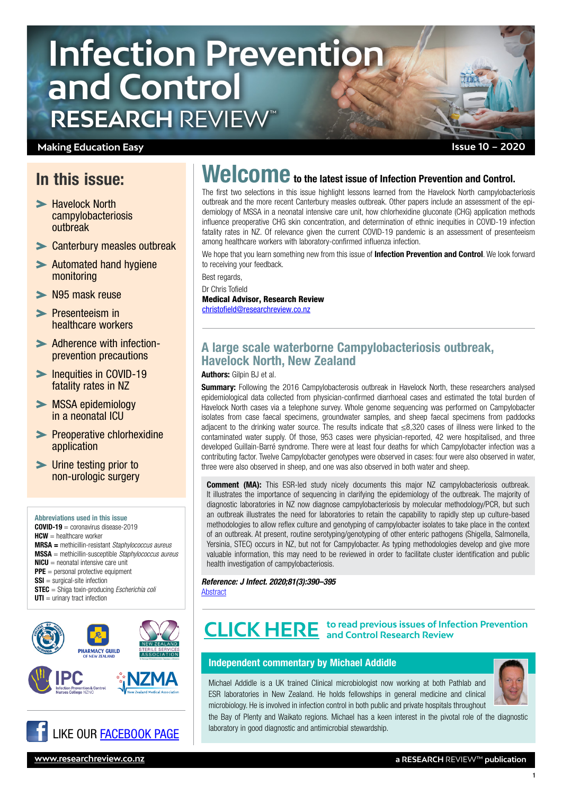# **Infection Prevention and Control RESEARCH** REVIEW™

## **Making Education Easy**

## In this issue:

- Havelock North campylobacteriosis outbreak
- [Canterbury measles outbreak](#page-1-0)
- [Automated hand hygiene](#page-1-0)  [monitoring](#page-1-0)
- > [N95 mask reuse](#page-2-0)
- **>** Presenteeism in [healthcare workers](#page-2-0)
- [Adherence with infection](#page-3-0)[prevention precautions](#page-3-0)
- **Inequities in COVID-19** [fatality rates in NZ](#page-3-0)
- [MSSA epidemiology](#page-4-0)  [in a neonatal ICU](#page-4-0)
- **>** Preoperative chlorhexidine [application](#page-4-0)
- [Urine testing prior to](#page-4-0)  [non-urologic surgery](#page-4-0)

Abbreviations used in this issue COVID-19 = coronavirus disease-2019  $HCW =$  healthcare worker MRSA = methicillin-resistant *Staphylococcus aureus* MSSA = methicillin-susceptible *Staphylococcus aureus*  $NICU$  = neonatal intensive care unit **PPE** = personal protective equipment **SSI** = surgical-site infection STEC = Shiga toxin-producing *Escherichia coli*  $UTI =$  urinary tract infection







# Welcome to the latest issue of Infection Prevention and Control.

The first two selections in this issue highlight lessons learned from the Havelock North campylobacteriosis outbreak and the more recent Canterbury measles outbreak. Other papers include an assessment of the epidemiology of MSSA in a neonatal intensive care unit, how chlorhexidine gluconate (CHG) application methods influence preoperative CHG skin concentration, and determination of ethnic inequities in COVID-19 infection fatality rates in NZ. Of relevance given the current COVID-19 pandemic is an assessment of presenteeism among healthcare workers with laboratory-confirmed influenza infection.

We hope that you learn something new from this issue of **Infection Prevention and Control**. We look forward to receiving your feedback.

Best regards, Dr Chris Tofield Medical Advisor, Research Review [christofield@researchreview.co.nz](mailto:christofield@researchreview.co.nz)

## A large scale waterborne Campylobacteriosis outbreak, Havelock North, New Zealand

Authors: Gilpin BJ et al.

Summary: Following the 2016 Campylobacterosis outbreak in Havelock North, these researchers analysed epidemiological data collected from physician-confirmed diarrhoeal cases and estimated the total burden of Havelock North cases via a telephone survey. Whole genome sequencing was performed on Campylobacter isolates from case faecal specimens, groundwater samples, and sheep faecal specimens from paddocks adjacent to the drinking water source. The results indicate that ≤8,320 cases of illness were linked to the contaminated water supply. Of those, 953 cases were physician-reported, 42 were hospitalised, and three developed Guillain-Barré syndrome. There were at least four deaths for which Campylobacter infection was a contributing factor. Twelve Campylobacter genotypes were observed in cases: four were also observed in water, three were also observed in sheep, and one was also observed in both water and sheep.

**Comment (MA):** This ESR-led study nicely documents this major NZ campylobacteriosis outbreak. It illustrates the importance of sequencing in clarifying the epidemiology of the outbreak. The majority of diagnostic laboratories in NZ now diagnose campylobacteriosis by molecular methodology/PCR, but such an outbreak illustrates the need for laboratories to retain the capability to rapidly step up culture-based methodologies to allow reflex culture and genotyping of campylobacter isolates to take place in the context of an outbreak. At present, routine serotyping/genotyping of other enteric pathogens (Shigella, Salmonella, Yersinia, STEC) occurs in NZ, but not for Campylobacter. As typing methodologies develop and give more valuable information, this may need to be reviewed in order to facilitate cluster identification and public health investigation of campylobacteriosis.

*Reference: J Infect. 2020;81(3):390–395* [Abstract](https://www.journalofinfection.com/article/S0163-4453(20)30445-X/fulltext)

# **to read previous issues of Infection Prevention [CLICK HERE](https://www.researchreview.co.nz/nz/Clinical-Area/Internal-Medicine/Infectious-Diseases/Infection-Control-and-Prevention.aspx?Show=RR-All) and Control Research Review**

### Independent commentary by Michael Addidle

Michael Addidle is a UK trained Clinical microbiologist now working at both Pathlab and ESR laboratories in New Zealand. He holds fellowships in general medicine and clinical microbiology. He is involved in infection control in both public and private hospitals throughout



1

the Bay of Plenty and Waikato regions. Michael has a keen interest in the pivotal role of the diagnostic laboratory in good diagnostic and antimicrobial stewardship.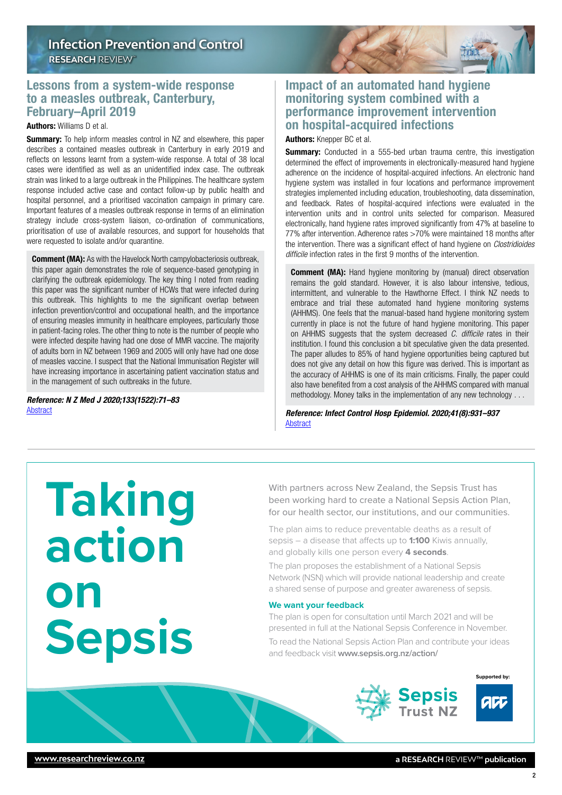## <span id="page-1-0"></span>Lessons from a system-wide response to a measles outbreak, Canterbury, February–April 2019

### Authors: Williams D et al.

**Summary:** To help inform measles control in NZ and elsewhere, this paper describes a contained measles outbreak in Canterbury in early 2019 and reflects on lessons learnt from a system-wide response. A total of 38 local cases were identified as well as an unidentified index case. The outbreak strain was linked to a large outbreak in the Philippines. The healthcare system response included active case and contact follow-up by public health and hospital personnel, and a prioritised vaccination campaign in primary care. Important features of a measles outbreak response in terms of an elimination strategy include cross-system liaison, co-ordination of communications, prioritisation of use of available resources, and support for households that were requested to isolate and/or quarantine.

**Comment (MA):** As with the Havelock North campylobacteriosis outbreak, this paper again demonstrates the role of sequence-based genotyping in clarifying the outbreak epidemiology. The key thing I noted from reading this paper was the significant number of HCWs that were infected during this outbreak. This highlights to me the significant overlap between infection prevention/control and occupational health, and the importance of ensuring measles immunity in healthcare employees, particularly those in patient-facing roles. The other thing to note is the number of people who were infected despite having had one dose of MMR vaccine. The majority of adults born in NZ between 1969 and 2005 will only have had one dose of measles vaccine. I suspect that the National Immunisation Register will have increasing importance in ascertaining patient vaccination status and in the management of such outbreaks in the future.

*Reference: N Z Med J 2020;133(1522):71–83* [Abstract](https://www.nzma.org.nz/journal-articles/lessons-from-a-system-wide-response-to-a-measles-outbreak-canterbury-february-april-2019)

## Impact of an automated hand hygiene monitoring system combined with a performance improvement intervention on hospital-acquired infections

Authors: Knepper BC et al.

**Summary:** Conducted in a 555-bed urban trauma centre, this investigation determined the effect of improvements in electronically-measured hand hygiene adherence on the incidence of hospital-acquired infections. An electronic hand hygiene system was installed in four locations and performance improvement strategies implemented including education, troubleshooting, data dissemination, and feedback. Rates of hospital-acquired infections were evaluated in the intervention units and in control units selected for comparison. Measured electronically, hand hygiene rates improved significantly from 47% at baseline to 77% after intervention. Adherence rates >70% were maintained 18 months after the intervention. There was a significant effect of hand hygiene on *Clostridioides difficile* infection rates in the first 9 months of the intervention.

**Comment (MA):** Hand hygiene monitoring by (manual) direct observation remains the gold standard. However, it is also labour intensive, tedious, intermittent, and vulnerable to the Hawthorne Effect. I think NZ needs to embrace and trial these automated hand hygiene monitoring systems (AHHMS). One feels that the manual-based hand hygiene monitoring system currently in place is not the future of hand hygiene monitoring. This paper on AHHMS suggests that the system decreased *C. difficile* rates in their institution. I found this conclusion a bit speculative given the data presented. The paper alludes to 85% of hand hygiene opportunities being captured but does not give any detail on how this figure was derived. This is important as the accuracy of AHHMS is one of its main criticisms. Finally, the paper could also have benefited from a cost analysis of the AHHMS compared with manual methodology. Money talks in the implementation of any new technology . . .

*Reference: Infect Control Hosp Epidemiol. 2020;41(8):931–937* [Abstract](https://www.cambridge.org/core/journals/infection-control-and-hospital-epidemiology/article/impact-of-an-automated-hand-hygiene-monitoring-system-combined-with-a-performance-improvement-intervention-on-hospitalacquired-infections/B0F461E64B2FF8A5A1B43B03678DDC8C)

**Taking action on Sepsis**

With partners across New Zealand, the Sepsis Trust has been working hard to create a National Sepsis Action Plan, for our health sector, our institutions, and our communities.

The plan aims to reduce preventable deaths as a result of sepsis – a disease that affects up to **1:100** Kiwis annually, and globally kills one person every **4 seconds**.

The plan proposes the establishment of a National Sepsis Network (NSN) which will provide national leadership and create a shared sense of purpose and greater awareness of sepsis.

### **We want your feedback**

The plan is open for consultation until March 2021 and will be presented in full at the National Sepsis Conference in November.

To read the National Sepsis Action Plan and contribute your ideas and feedback visit **www.sepsis.org.nz/action/** 

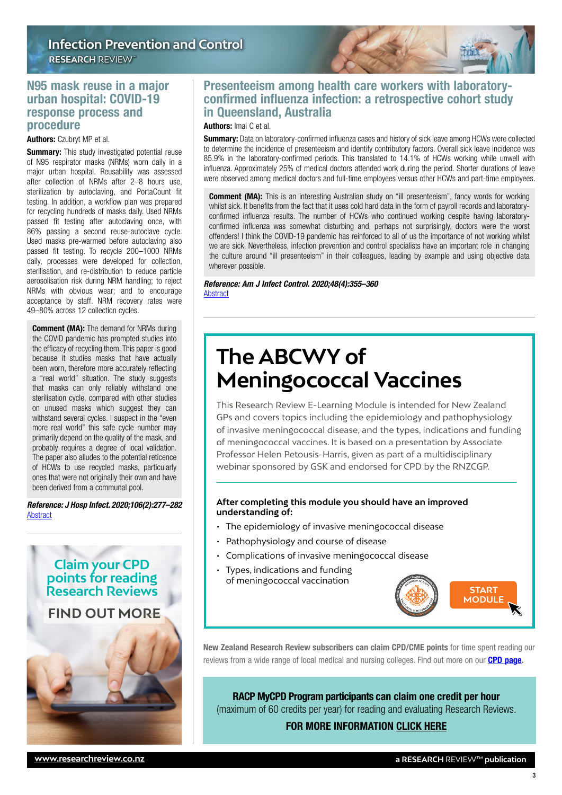## <span id="page-2-0"></span>N95 mask reuse in a major urban hospital: COVID-19 response process and procedure

#### Authors: Czubryt MP et al.

**Summary:** This study investigated potential reuse of N95 respirator masks (NRMs) worn daily in a major urban hospital. Reusability was assessed after collection of NRMs after 2–8 hours use, sterilization by autoclaving, and PortaCount fit testing. In addition, a workflow plan was prepared for recycling hundreds of masks daily. Used NRMs passed fit testing after autoclaving once, with 86% passing a second reuse-autoclave cycle. Used masks pre-warmed before autoclaving also passed fit testing. To recycle 200–1000 NRMs daily, processes were developed for collection, sterilisation, and re-distribution to reduce particle aerosolisation risk during NRM handling; to reject NRMs with obvious wear; and to encourage acceptance by staff. NRM recovery rates were 49–80% across 12 collection cycles.

**Comment (MA):** The demand for NRMs during the COVID pandemic has prompted studies into the efficacy of recycling them. This paper is good because it studies masks that have actually been worn, therefore more accurately reflecting a "real world" situation. The study suggests that masks can only reliably withstand one sterilisation cycle, compared with other studies on unused masks which suggest they can withstand several cycles. I suspect in the "even more real world" this safe cycle number may primarily depend on the quality of the mask, and probably requires a degree of local validation. The paper also alludes to the potential reticence of HCWs to use recycled masks, particularly ones that were not originally their own and have been derived from a communal pool.

*Reference: J Hosp Infect. 2020;106(2):277–282* [Abstract](https://www.journalofhospitalinfection.com/article/S0195-6701(20)30366-2/fulltext)



## Presenteeism among health care workers with laboratoryconfirmed influenza infection: a retrospective cohort study in Queensland, Australia

### Authors: Imai C et al.

**Summary:** Data on laboratory-confirmed influenza cases and history of sick leave among HCWs were collected to determine the incidence of presenteeism and identify contributory factors. Overall sick leave incidence was 85.9% in the laboratory-confirmed periods. This translated to 14.1% of HCWs working while unwell with influenza. Approximately 25% of medical doctors attended work during the period. Shorter durations of leave were observed among medical doctors and full-time employees versus other HCWs and part-time employees.

**Comment (MA):** This is an interesting Australian study on "ill presenteeism", fancy words for working whilst sick. It benefits from the fact that it uses cold hard data in the form of payroll records and laboratoryconfirmed influenza results. The number of HCWs who continued working despite having laboratoryconfirmed influenza was somewhat disturbing and, perhaps not surprisingly, doctors were the worst offenders! I think the COVID-19 pandemic has reinforced to all of us the importance of not working whilst we are sick. Nevertheless, infection prevention and control specialists have an important role in changing the culture around "ill presenteeism" in their colleagues, leading by example and using objective data wherever possible.

#### *Reference: Am J Infect Control. 2020;48(4):355–360* [Abstract](https://www.ajicjournal.org/article/S0196-6553(19)30741-2/fulltext)

## **The ABCWY of Meningococcal Vaccines**

This Research Review E-Learning Module is intended for New Zealand GPs and covers topics including the epidemiology and pathophysiology of invasive meningococcal disease, and the types, indications and funding of meningococcal vaccines. It is based on a presentation by Associate Professor Helen Petousis-Harris, given as part of a multidisciplinary webinar sponsored by GSK and endorsed for CPD by the RNZCGP.

### **After completing this module you should have an improved understanding of:**

- The epidemiology of invasive meningococcal disease
- Pathophysiology and course of disease
- Complications of invasive meningococcal disease
- Types, indications and funding of meningococcal vaccination



New Zealand Research Review subscribers can claim CPD/CME points for time spent reading our reviews from a wide range of local medical and nursing colleges. Find out more on our **[CPD page.](http://www.researchreview.co.nz/cpd?site=nz)** 

RACP MyCPD Program participants can claim one credit per hour (maximum of 60 credits per year) for reading and evaluating Research Reviews. FOR MORE INFORMATION [CLICK HERE](https://www.racp.edu.au/fellows/continuing-professional-development)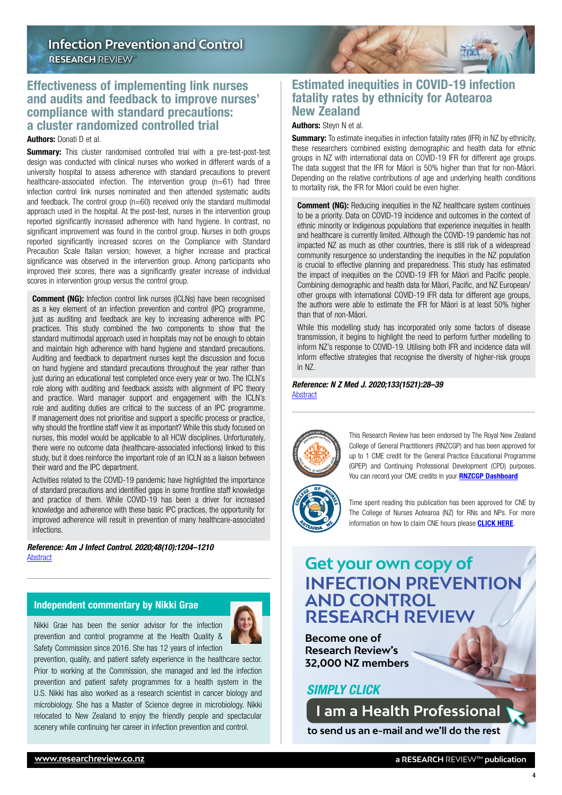## <span id="page-3-0"></span>Effectiveness of implementing link nurses and audits and feedback to improve nurses' compliance with standard precautions: a cluster randomized controlled trial

Authors: Donati D et al.

**Summary:** This cluster randomised controlled trial with a pre-test-post-test design was conducted with clinical nurses who worked in different wards of a university hospital to assess adherence with standard precautions to prevent healthcare-associated infection. The intervention group (n=61) had three infection control link nurses nominated and then attended systematic audits and feedback. The control group (n=60) received only the standard multimodal approach used in the hospital. At the post-test, nurses in the intervention group reported significantly increased adherence with hand hygiene. In contrast, no significant improvement was found in the control group. Nurses in both groups reported significantly increased scores on the Compliance with Standard Precaution Scale Italian version; however, a higher increase and practical significance was observed in the intervention group. Among participants who improved their scores, there was a significantly greater increase of individual scores in intervention group versus the control group.

**Comment (NG):** Infection control link nurses (ICLNs) have been recognised as a key element of an infection prevention and control (IPC) programme, just as auditing and feedback are key to increasing adherence with IPC practices. This study combined the two components to show that the standard multimodal approach used in hospitals may not be enough to obtain and maintain high adherence with hand hygiene and standard precautions. Auditing and feedback to department nurses kept the discussion and focus on hand hygiene and standard precautions throughout the year rather than just during an educational test completed once every year or two. The ICLN's role along with auditing and feedback assists with alignment of IPC theory and practice. Ward manager support and engagement with the ICLN's role and auditing duties are critical to the success of an IPC programme. If management does not prioritise and support a specific process or practice, why should the frontline staff view it as important? While this study focused on nurses, this model would be applicable to all HCW disciplines. Unfortunately, there were no outcome data (healthcare-associated infections) linked to this study, but it does reinforce the important role of an ICLN as a liaison between their ward and the IPC department.

Activities related to the COVID-19 pandemic have highlighted the importance of standard precautions and identified gaps in some frontline staff knowledge and practice of them. While COVID-19 has been a driver for increased knowledge and adherence with these basic IPC practices, the opportunity for improved adherence will result in prevention of many healthcare-associated infections.

*Reference: Am J Infect Control. 2020;48(10):1204–1210* [Abstract](https://www.ajicjournal.org/article/S0196-6553(20)30068-7/fulltext)

### Independent commentary by Nikki Grae

Nikki Grae has been the senior advisor for the infection prevention and control programme at the Health Quality & Safety Commission since 2016. She has 12 years of infection



prevention, quality, and patient safety experience in the healthcare sector. Prior to working at the Commission, she managed and led the infection prevention and patient safety programmes for a health system in the U.S. Nikki has also worked as a research scientist in cancer biology and microbiology. She has a Master of Science degree in microbiology. Nikki relocated to New Zealand to enjoy the friendly people and spectacular scenery while continuing her career in infection prevention and control.



## Estimated inequities in COVID-19 infection fatality rates by ethnicity for Aotearoa New Zealand

### Authors: Steyn N et al.

**Summary:** To estimate inequities in infection fatality rates (IFR) in NZ by ethnicity, these researchers combined existing demographic and health data for ethnic groups in NZ with international data on COVID-19 IFR for different age groups. The data suggest that the IFR for Māori is 50% higher than that for non-Māori. Depending on the relative contributions of age and underlying health conditions to mortality risk, the IFR for Māori could be even higher.

**Comment (NG):** Reducing inequities in the NZ healthcare system continues to be a priority. Data on COVID-19 incidence and outcomes in the context of ethnic minority or Indigenous populations that experience inequities in health and healthcare is currently limited. Although the COVID-19 pandemic has not impacted NZ as much as other countries, there is still risk of a widespread community resurgence so understanding the inequities in the NZ population is crucial to effective planning and preparedness. This study has estimated the impact of inequities on the COVID-19 IFR for Māori and Pacific people. Combining demographic and health data for Māori, Pacific, and NZ European/ other groups with international COVID-19 IFR data for different age groups, the authors were able to estimate the IFR for Māori is at least 50% higher than that of non-Māori.

While this modelling study has incorporated only some factors of disease transmission, it begins to highlight the need to perform further modelling to inform NZ's response to COVID-19. Utilising both IFR and incidence data will inform effective strategies that recognise the diversity of higher-risk groups in NZ.

*Reference: N Z Med J. 2020;133(1521):28–39* **[Abstract](https://www.nzma.org.nz/journal-articles/estimated-inequities-in-covid-19-infection-fatality-rates-by-ethnicity-for-aotearoa-new-zealand)** 



This Research Review has been endorsed by The Royal New Zealand College of General Practitioners (RNZCGP) and has been approved for up to 1 CME credit for the General Practice Educational Programme (GPEP) and Continuing Professional Development (CPD) purposes. You can record your CME credits in your **[RNZCGP Dashboard](https://www.rnzcgp.org.nz/RNZCGP/Contact_Management/Sign_In.aspx)** 

Time spent reading this publication has been approved for CNE by The College of Nurses Aotearoa (NZ) for RNs and NPs. For more information on how to claim CNE hours please **[CLICK HERE](http://www.nurse.org.nz/continuing-nursing-education-cne-template.html)**.

## **Get your own copy of INFECTION PREVENTION AND CONTROL RESEARCH REVIEW**

**Become one of Research Review's 32,000 NZ members**

### *SIMPLY CLICK*

**[I am a Health Professional](mailto:admin%40researchreview.co.nz?subject=I%20would%20like%20to%20subscribe%20to%20Infection%20Prevention%20and%20Control%20Research%20Review)** 

**to send us an e-mail and we'll do the rest**

4